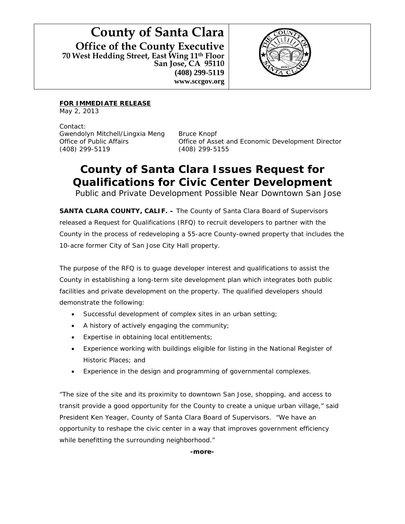**County of Santa Clara Office of the County Executive 70 West Hedding Street, East Wing 11th Floor San Jose, CA 95110 (408) 299-5119 www.sccgov.org** 



**FOR IMMEDIATE RELEASE**

May 2, 2013

Contact: Gwendolyn Mitchell/Lingxia Meng Bruce Knopf (408) 299-5119 (408) 299-5155

Office of Public Affairs Office of Asset and Economic Development Director

## **County of Santa Clara Issues Request for Qualifications for Civic Center Development**

*Public and Private Development Possible Near Downtown San Jose*

**SANTA CLARA COUNTY, CALIF. –** The County of Santa Clara Board of Supervisors released a Request for Qualifications (RFQ) to recruit developers to partner with the County in the process of redeveloping a 55-acre County-owned property that includes the 10-acre former City of San Jose City Hall property.

The purpose of the RFQ is to guage developer interest and qualifications to assist the County in establishing a long-term site development plan which integrates both public facilities and private development on the property. The qualified developers should demonstrate the following:

- Successful development of complex sites in an urban setting;
- A history of actively engaging the community;
- Expertise in obtaining local entitlements;
- Experience working with buildings eligible for listing in the National Register of Historic Places; and
- Experience in the design and programming of governmental complexes.

"The size of the site and its proximity to downtown San Jose, shopping, and access to transit provide a good opportunity for the County to create a unique urban village," said President Ken Yeager, County of Santa Clara Board of Supervisors. "We have an opportunity to reshape the civic center in a way that improves government efficiency while benefitting the surrounding neighborhood."

**-more-**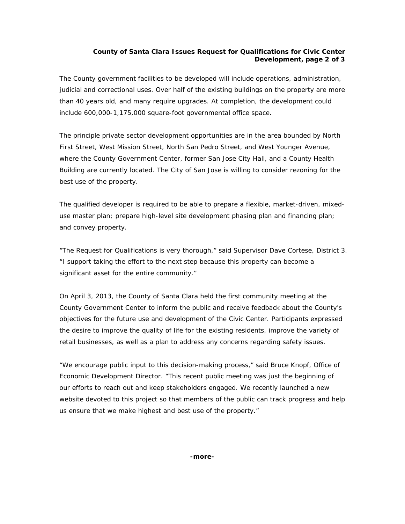## **County of Santa Clara Issues Request for Qualifications for Civic Center Development, page 2 of 3**

The County government facilities to be developed will include operations, administration, judicial and correctional uses. Over half of the existing buildings on the property are more than 40 years old, and many require upgrades. At completion, the development could include 600,000-1,175,000 square-foot governmental office space.

The principle private sector development opportunities are in the area bounded by North First Street, West Mission Street, North San Pedro Street, and West Younger Avenue, where the County Government Center, former San Jose City Hall, and a County Health Building are currently located. The City of San Jose is willing to consider rezoning for the best use of the property.

The qualified developer is required to be able to prepare a flexible, market-driven, mixeduse master plan; prepare high-level site development phasing plan and financing plan; and convey property.

"The Request for Qualifications is very thorough," said Supervisor Dave Cortese, District 3. "I support taking the effort to the next step because this property can become a significant asset for the entire community."

On April 3, 2013, the County of Santa Clara held the first community meeting at the County Government Center to inform the public and receive feedback about the County's objectives for the future use and development of the Civic Center. Participants expressed the desire to improve the quality of life for the existing residents, improve the variety of retail businesses, as well as a plan to address any concerns regarding safety issues.

"We encourage public input to this decision-making process," said Bruce Knopf, Office of Economic Development Director. "This recent public meeting was just the beginning of our efforts to reach out and keep stakeholders engaged. We recently launched a new website devoted to this project so that members of the public can track progress and help us ensure that we make highest and best use of the property."